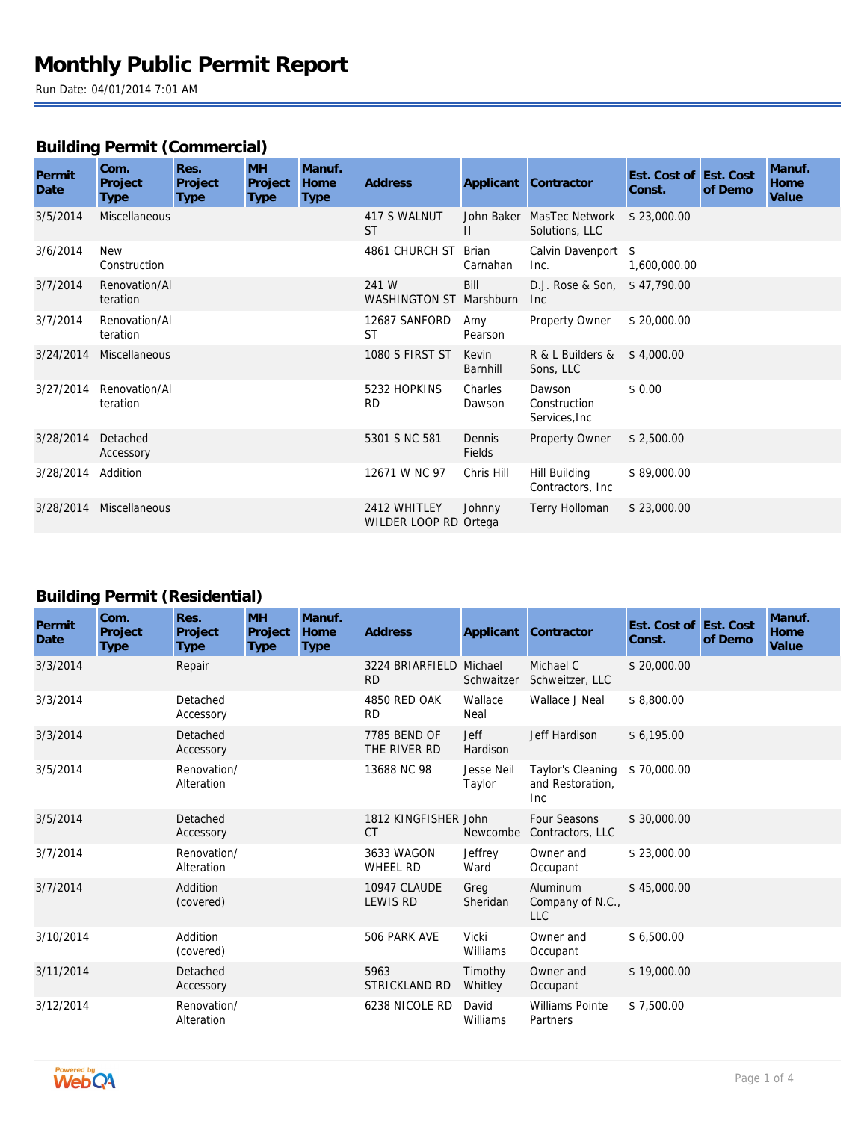## **Building Permit (Commercial)**

| Permit<br>Date | Com.<br>Project<br>Type    | Res.<br>Project<br><b>Type</b> | <b>MH</b><br>Project<br>Type | Manuf.<br>Home<br><b>Type</b> | Address                               |                   | Applicant Contractor                        | Est. Cost of Est. Cost<br>Const. | of Demo | Manuf.<br>Home<br>Value |
|----------------|----------------------------|--------------------------------|------------------------------|-------------------------------|---------------------------------------|-------------------|---------------------------------------------|----------------------------------|---------|-------------------------|
| 3/5/2014       | <b>Miscellaneous</b>       |                                |                              |                               | 417 S WALNUT<br><b>ST</b>             | $\mathbf{H}$      | John Baker MasTec Network<br>Solutions, LLC | \$23,000.00                      |         |                         |
| 3/6/2014       | <b>New</b><br>Construction |                                |                              |                               | 4861 CHURCH ST                        | Brian<br>Carnahan | Calvin Davenport \$<br>Inc.                 | 1,600,000.00                     |         |                         |
| 3/7/2014       | Renovation/Al<br>teration  |                                |                              |                               | 241 W<br>WASHINGTON ST Marshburn      | Bill              | D.J. Rose & Son, \$47,790.00<br><b>Inc</b>  |                                  |         |                         |
| 3/7/2014       | Renovation/Al<br>teration  |                                |                              |                               | 12687 SANFORD<br>ST                   | Amy<br>Pearson    | Property Owner                              | \$20,000.00                      |         |                         |
| 3/24/2014      | Miscellaneous              |                                |                              |                               | 1080 S FIRST ST                       | Kevin<br>Barnhill | R & L Builders &<br>Sons, LLC               | \$4,000.00                       |         |                         |
| 3/27/2014      | Renovation/Al<br>teration  |                                |                              |                               | 5232 HOPKINS<br><b>RD</b>             | Charles<br>Dawson | Dawson<br>Construction<br>Services, Inc.    | \$0.00                           |         |                         |
| 3/28/2014      | Detached<br>Accessory      |                                |                              |                               | 5301 S NC 581                         | Dennis<br>Fields  | Property Owner                              | \$2,500.00                       |         |                         |
| 3/28/2014      | Addition                   |                                |                              |                               | 12671 W NC 97                         | Chris Hill        | Hill Building<br>Contractors, Inc.          | \$89,000.00                      |         |                         |
| 3/28/2014      | Miscellaneous              |                                |                              |                               | 2412 WHITLEY<br>WILDER LOOP RD Ortega | Johnny            | Terry Holloman                              | \$23,000.00                      |         |                         |

### **Building Permit (Residential)**

| Permit<br>Date | Com.<br>Project<br><b>Type</b> | Res.<br>Project<br><b>Type</b> | <b>MH</b><br>Project<br><b>Type</b> | Manuf.<br>Home<br><b>Type</b> | <b>Address</b>                       | Applicant               | Contractor                                   | Est. Cost of Est. Cost<br>Const. | of Demo | Manuf.<br>Home<br>Value |
|----------------|--------------------------------|--------------------------------|-------------------------------------|-------------------------------|--------------------------------------|-------------------------|----------------------------------------------|----------------------------------|---------|-------------------------|
| 3/3/2014       |                                | Repair                         |                                     |                               | 3224 BRIARFIELD Michael<br><b>RD</b> | Schwaitzer              | Michael C<br>Schweitzer, LLC                 | \$20,000.00                      |         |                         |
| 3/3/2014       |                                | Detached<br>Accessory          |                                     |                               | 4850 RED OAK<br><b>RD</b>            | Wallace<br>Neal         | Wallace J Neal                               | \$8,800.00                       |         |                         |
| 3/3/2014       |                                | Detached<br>Accessory          |                                     |                               | 7785 BEND OF<br>THE RIVER RD         | <b>Jeff</b><br>Hardison | Jeff Hardison                                | \$6,195.00                       |         |                         |
| 3/5/2014       |                                | Renovation/<br>Alteration      |                                     |                               | 13688 NC 98                          | Jesse Neil<br>Taylor    | Taylor's Cleaning<br>and Restoration,<br>Inc | \$70,000.00                      |         |                         |
| 3/5/2014       |                                | Detached<br>Accessory          |                                     |                               | 1812 KINGFISHER John<br><b>CT</b>    | Newcombe                | Four Seasons<br>Contractors, LLC             | \$30,000.00                      |         |                         |
| 3/7/2014       |                                | Renovation/<br>Alteration      |                                     |                               | 3633 WAGON<br><b>WHEEL RD</b>        | Jeffrey<br>Ward         | Owner and<br>Occupant                        | \$23,000.00                      |         |                         |
| 3/7/2014       |                                | Addition<br>(covered)          |                                     |                               | 10947 CLAUDE<br><b>LEWIS RD</b>      | Greg<br>Sheridan        | Aluminum<br>Company of N.C.,<br><b>LLC</b>   | \$45,000.00                      |         |                         |
| 3/10/2014      |                                | Addition<br>(covered)          |                                     |                               | 506 PARK AVE                         | Vicki<br>Williams       | Owner and<br>Occupant                        | \$6,500.00                       |         |                         |
| 3/11/2014      |                                | Detached<br>Accessory          |                                     |                               | 5963<br>STRICKLAND RD                | Timothy<br>Whitley      | Owner and<br>Occupant                        | \$19,000.00                      |         |                         |
| 3/12/2014      |                                | Renovation/<br>Alteration      |                                     |                               | 6238 NICOLE RD                       | David<br>Williams       | <b>Williams Pointe</b><br>Partners           | \$7,500.00                       |         |                         |

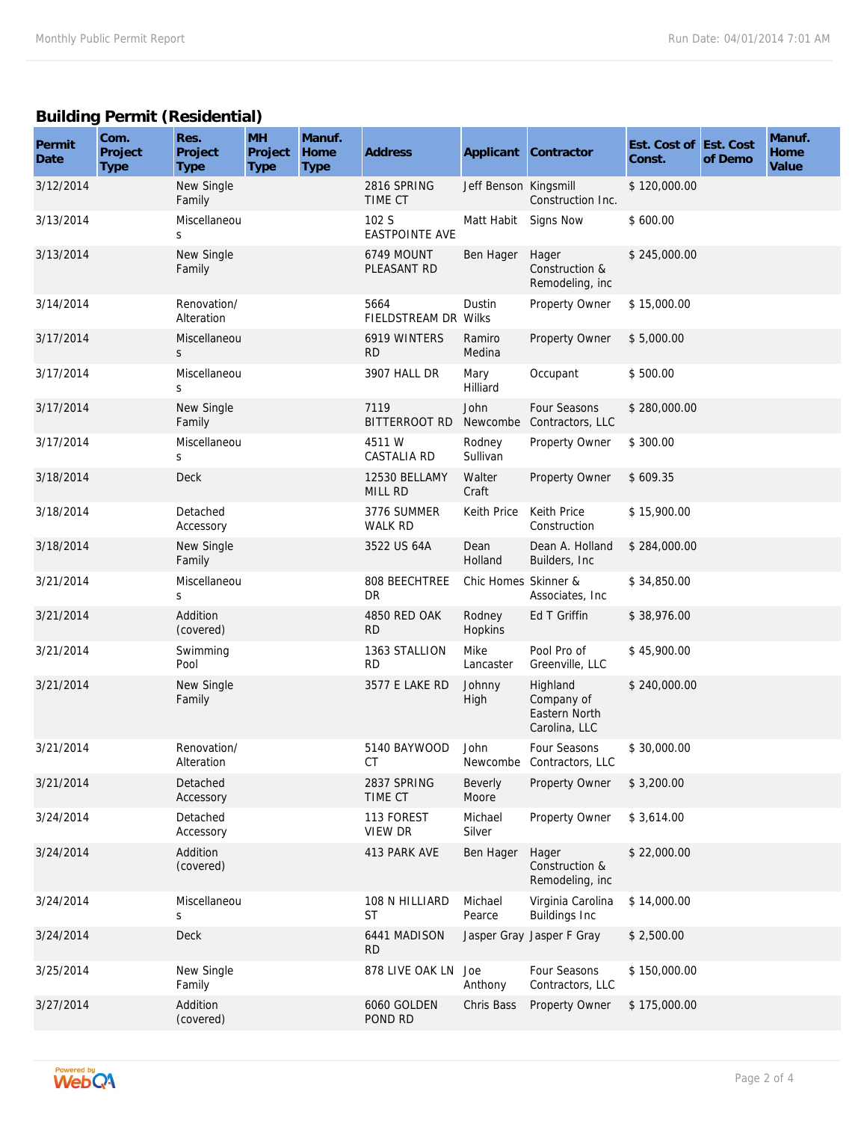## **Building Permit (Residential)**

| Permit<br>Date | Com.<br>Project<br><b>Type</b> | Res.<br>Project<br><b>Type</b> | <b>MH</b><br>Project<br><b>Type</b> | Manuf.<br>Home<br><b>Type</b> | Address                         |                       | Applicant Contractor                                     | Est. Cost of Est. Cost<br>Const. | of Demo | Manuf.<br>Home<br>Value |
|----------------|--------------------------------|--------------------------------|-------------------------------------|-------------------------------|---------------------------------|-----------------------|----------------------------------------------------------|----------------------------------|---------|-------------------------|
| 3/12/2014      |                                | New Single<br>Family           |                                     |                               | 2816 SPRING<br>TIME CT          | Jeff Benson Kingsmill | Construction Inc.                                        | \$120,000.00                     |         |                         |
| 3/13/2014      |                                | Miscellaneou<br>S              |                                     |                               | 102 S<br><b>EASTPOINTE AVE</b>  | Matt Habit            | Signs Now                                                | \$600.00                         |         |                         |
| 3/13/2014      |                                | New Single<br>Family           |                                     |                               | 6749 MOUNT<br>PLEASANT RD       | Ben Hager             | Hager<br>Construction &<br>Remodeling, inc               | \$245,000.00                     |         |                         |
| 3/14/2014      |                                | Renovation/<br>Alteration      |                                     |                               | 5664<br>FIELDSTREAM DR Wilks    | Dustin                | Property Owner                                           | \$15,000.00                      |         |                         |
| 3/17/2014      |                                | Miscellaneou<br>S              |                                     |                               | 6919 WINTERS<br><b>RD</b>       | Ramiro<br>Medina      | Property Owner                                           | \$5,000.00                       |         |                         |
| 3/17/2014      |                                | Miscellaneou<br>S              |                                     |                               | 3907 HALL DR                    | Mary<br>Hilliard      | Occupant                                                 | \$500.00                         |         |                         |
| 3/17/2014      |                                | New Single<br>Family           |                                     |                               | 7119<br><b>BITTERROOT RD</b>    | John<br>Newcombe      | Four Seasons<br>Contractors, LLC                         | \$280,000.00                     |         |                         |
| 3/17/2014      |                                | Miscellaneou<br>S              |                                     |                               | 4511 W<br><b>CASTALIA RD</b>    | Rodney<br>Sullivan    | Property Owner                                           | \$300.00                         |         |                         |
| 3/18/2014      |                                | <b>Deck</b>                    |                                     |                               | 12530 BELLAMY<br><b>MILL RD</b> | Walter<br>Craft       | Property Owner                                           | \$609.35                         |         |                         |
| 3/18/2014      |                                | Detached<br>Accessory          |                                     |                               | 3776 SUMMER<br>WALK RD          | Keith Price           | Keith Price<br>Construction                              | \$15,900.00                      |         |                         |
| 3/18/2014      |                                | New Single<br>Family           |                                     |                               | 3522 US 64A                     | Dean<br>Holland       | Dean A. Holland<br>Builders, Inc.                        | \$284,000.00                     |         |                         |
| 3/21/2014      |                                | Miscellaneou<br>S              |                                     |                               | 808 BEECHTREE<br><b>DR</b>      | Chic Homes Skinner &  | Associates, Inc.                                         | \$34,850.00                      |         |                         |
| 3/21/2014      |                                | Addition<br>(covered)          |                                     |                               | 4850 RED OAK<br><b>RD</b>       | Rodney<br>Hopkins     | Ed T Griffin                                             | \$38,976.00                      |         |                         |
| 3/21/2014      |                                | Swimming<br>Pool               |                                     |                               | 1363 STALLION<br><b>RD</b>      | Mike<br>Lancaster     | Pool Pro of<br>Greenville, LLC                           | \$45,900.00                      |         |                         |
| 3/21/2014      |                                | New Single<br>Family           |                                     |                               | 3577 E LAKE RD                  | Johnny<br>High        | Highland<br>Company of<br>Eastern North<br>Carolina, LLC | \$240,000.00                     |         |                         |
| 3/21/2014      |                                | Renovation/<br>Alteration      |                                     |                               | 5140 BAYWOOD<br>СT              | John                  | Four Seasons<br>Newcombe Contractors, LLC                | \$30,000.00                      |         |                         |
| 3/21/2014      |                                | Detached<br>Accessory          |                                     |                               | 2837 SPRING<br>TIME CT          | Beverly<br>Moore      | Property Owner                                           | \$3,200.00                       |         |                         |
| 3/24/2014      |                                | Detached<br>Accessory          |                                     |                               | 113 FOREST<br>VIEW DR           | Michael<br>Silver     | Property Owner                                           | \$3,614.00                       |         |                         |
| 3/24/2014      |                                | Addition<br>(covered)          |                                     |                               | 413 PARK AVE                    | Ben Hager             | Hager<br>Construction &<br>Remodeling, inc               | \$22,000.00                      |         |                         |
| 3/24/2014      |                                | Miscellaneou<br>S              |                                     |                               | 108 N HILLIARD<br>ST            | Michael<br>Pearce     | Virginia Carolina<br><b>Buildings Inc</b>                | \$14,000.00                      |         |                         |
| 3/24/2014      |                                | Deck                           |                                     |                               | 6441 MADISON<br><b>RD</b>       |                       | Jasper Gray Jasper F Gray                                | \$2,500.00                       |         |                         |
| 3/25/2014      |                                | New Single<br>Family           |                                     |                               | 878 LIVE OAK LN Joe             | Anthony               | Four Seasons<br>Contractors, LLC                         | \$150,000.00                     |         |                         |
| 3/27/2014      |                                | Addition<br>(covered)          |                                     |                               | 6060 GOLDEN<br>POND RD          | Chris Bass            | Property Owner                                           | \$175,000.00                     |         |                         |

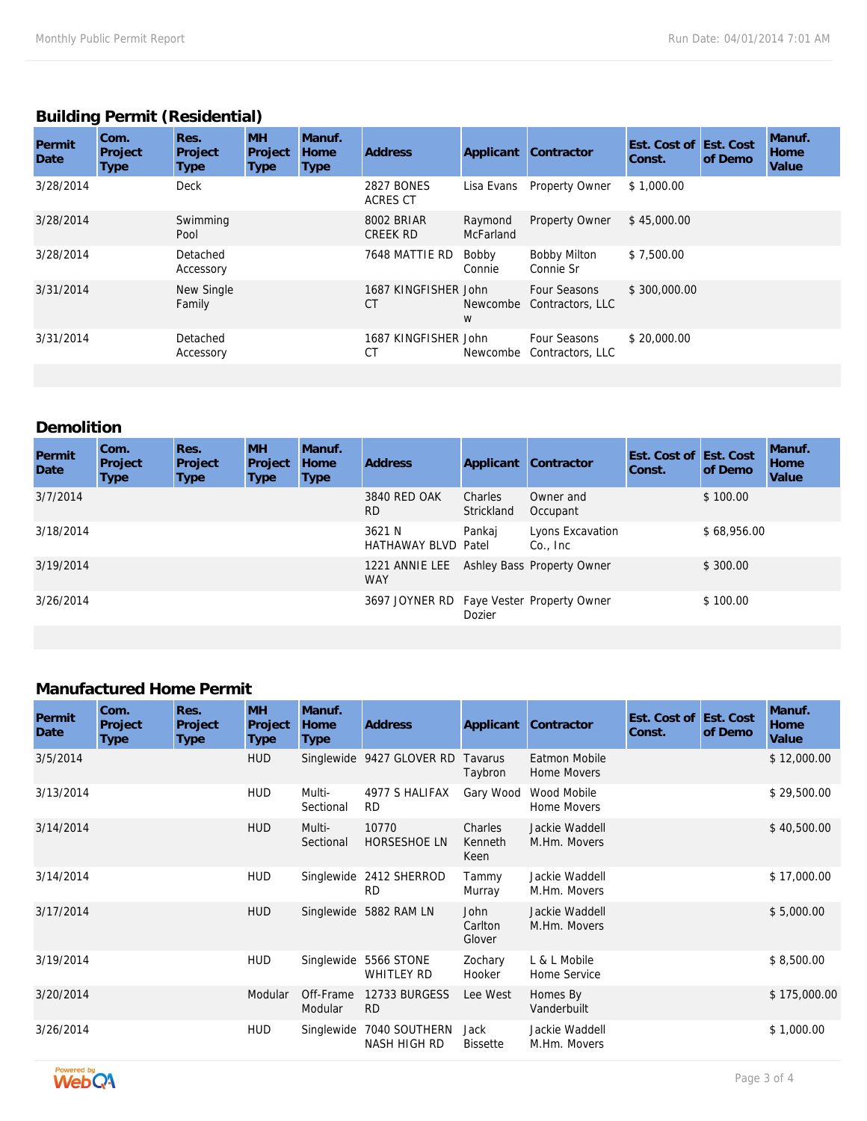### **Building Permit (Residential)**

| Permit<br>Date | Com.<br>Project<br>Type | Res.<br>Project<br><b>Type</b> | <b>MH</b><br>Project<br>Type | Manuf.<br><b>Home</b><br>Type | <b>Address</b>                       | Applicant                   | Contractor                       | Est. Cost of Est. Cost<br>Const. | of Demo | Manuf.<br><b>Home</b><br>Value |
|----------------|-------------------------|--------------------------------|------------------------------|-------------------------------|--------------------------------------|-----------------------------|----------------------------------|----------------------------------|---------|--------------------------------|
| 3/28/2014      |                         | <b>Deck</b>                    |                              |                               | <b>2827 BONES</b><br><b>ACRES CT</b> | Lisa Evans                  | <b>Property Owner</b>            | \$1,000.00                       |         |                                |
| 3/28/2014      |                         | Swimming<br>Pool               |                              |                               | 8002 BRIAR<br><b>CREEK RD</b>        | Raymond<br><b>McFarland</b> | Property Owner                   | \$45,000.00                      |         |                                |
| 3/28/2014      |                         | Detached<br>Accessory          |                              |                               | 7648 MATTIE RD                       | Bobby<br>Connie             | <b>Bobby Milton</b><br>Connie Sr | \$7,500.00                       |         |                                |
| 3/31/2014      |                         | New Single<br>Family           |                              |                               | 1687 KINGFISHER John<br>СT           | Newcombe<br>W               | Four Seasons<br>Contractors, LLC | \$300,000.00                     |         |                                |
| 3/31/2014      |                         | Detached<br>Accessory          |                              |                               | 1687 KINGFISHER John<br>СT           | Newcombe                    | Four Seasons<br>Contractors, LLC | \$20,000.00                      |         |                                |

# **Demolition**

| Permit<br>Date | Com.<br>Project<br>Type | Res.<br>Project<br><b>Type</b> | <b>MH</b><br>Project<br>Type | Manuf.<br>Home<br><b>Type</b> | <b>Address</b>                       | Applicant             | Contractor                       | Est. Cost of Est. Cost<br>Const. | of Demo     | Manuf.<br>Home<br>Value |
|----------------|-------------------------|--------------------------------|------------------------------|-------------------------------|--------------------------------------|-----------------------|----------------------------------|----------------------------------|-------------|-------------------------|
| 3/7/2014       |                         |                                |                              |                               | 3840 RED OAK<br>RD.                  | Charles<br>Strickland | Owner and<br>Occupant            |                                  | \$100.00    |                         |
| 3/18/2014      |                         |                                |                              |                               | 3621 N<br><b>HATHAWAY BLVD Patel</b> | Pankaj                | Lyons Excavation<br>$Co.$ , Inc. |                                  | \$68,956.00 |                         |
| 3/19/2014      |                         |                                |                              |                               | 1221 ANNIE LEE<br><b>WAY</b>         |                       | Ashley Bass Property Owner       |                                  | \$300.00    |                         |
| 3/26/2014      |                         |                                |                              |                               | 3697 JOYNER RD                       | Dozier                | Faye Vester Property Owner       |                                  | \$100.00    |                         |

### **Manufactured Home Permit**

| Permit<br>Date | Com.<br>Project<br>Type | Res.<br>Project<br><b>Type</b> | <b>MH</b><br>Project<br>Type | Manuf.<br>Home<br>Type | <b>Address</b>                         | Applicant                        | Contractor                     | Est. Cost of Est. Cost<br>Const. | of Demo | Manuf.<br>Home<br>Value |
|----------------|-------------------------|--------------------------------|------------------------------|------------------------|----------------------------------------|----------------------------------|--------------------------------|----------------------------------|---------|-------------------------|
| 3/5/2014       |                         |                                | <b>HUD</b>                   |                        | Singlewide 9427 GLOVER RD              | Tavarus<br>Taybron               | Eatmon Mobile<br>Home Movers   |                                  |         | \$12,000.00             |
| 3/13/2014      |                         |                                | <b>HUD</b>                   | Multi-<br>Sectional    | 4977 S HALIFAX<br><b>RD</b>            | Gary Wood                        | Wood Mobile<br>Home Movers     |                                  |         | \$29,500.00             |
| 3/14/2014      |                         |                                | <b>HUD</b>                   | Multi-<br>Sectional    | 10770<br>HORSESHOE LN                  | Charles<br>Kenneth<br>Keen       | Jackie Waddell<br>M.Hm. Movers |                                  |         | \$40,500.00             |
| 3/14/2014      |                         |                                | <b>HUD</b>                   | Singlewide             | 2412 SHERROD<br><b>RD</b>              | Tammy<br>Murray                  | Jackie Waddell<br>M.Hm. Movers |                                  |         | \$17,000.00             |
| 3/17/2014      |                         |                                | <b>HUD</b>                   |                        | Singlewide 5882 RAM LN                 | <b>John</b><br>Carlton<br>Glover | Jackie Waddell<br>M.Hm. Movers |                                  |         | \$5,000.00              |
| 3/19/2014      |                         |                                | <b>HUD</b>                   | Singlewide             | <b>5566 STONE</b><br><b>WHITLEY RD</b> | Zochary<br>Hooker                | L & L Mobile<br>Home Service   |                                  |         | \$8,500.00              |
| 3/20/2014      |                         |                                | Modular                      | Off-Frame<br>Modular   | 12733 BURGESS<br><b>RD</b>             | Lee West                         | Homes By<br>Vanderbuilt        |                                  |         | \$175,000.00            |
| 3/26/2014      |                         |                                | <b>HUD</b>                   | Singlewide             | 7040 SOUTHERN<br>NASH HIGH RD          | Jack<br><b>Bissette</b>          | Jackie Waddell<br>M.Hm. Movers |                                  |         | \$1,000.00              |